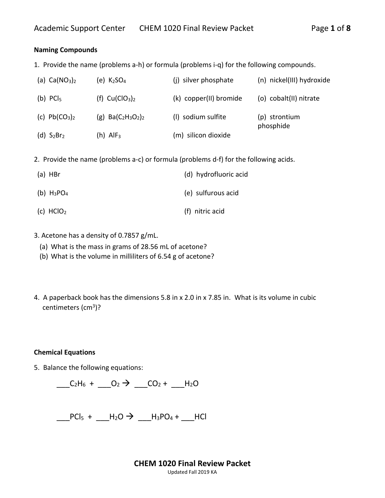### **Naming Compounds**

1. Provide the name (problems a-h) or formula (problems i-q) for the following compounds.

| (a) $Ca(NO3)2$   | (e) K <sub>2</sub> SO <sub>4</sub> | (i) silver phosphate   | (n) nickel(III) hydroxide  |
|------------------|------------------------------------|------------------------|----------------------------|
| (b) $PCI5$       | (f) $Cu(ClO3)2$                    | (k) copper(II) bromide | (o) cobalt(II) nitrate     |
| (c) $Pb(CO_3)_2$ | (g) $Ba(C_2H_3O_2)_2$              | (I) sodium sulfite     | (p) strontium<br>phosphide |
| (d) $S_2Br_2$    | (h) AlF <sub>3</sub>               | (m) silicon dioxide    |                            |

2. Provide the name (problems a-c) or formula (problems d-f) for the following acids.

| $(a)$ HBr     | (d) hydrofluoric acid |
|---------------|-----------------------|
| (b) $H_3PO_4$ | (e) sulfurous acid    |
| (c) $HCIO2$   | (f) nitric acid       |

- 3. Acetone has a density of 0.7857 g/mL.
	- (a) What is the mass in grams of 28.56 mL of acetone?
	- (b) What is the volume in milliliters of 6.54 g of acetone?
- 4. A paperback book has the dimensions 5.8 in x 2.0 in x 7.85 in. What is its volume in cubic centimeters (cm<sup>3</sup>)?

#### **Chemical Equations**

5. Balance the following equations:



 $\frac{1}{2}$ PCl<sub>5</sub> +  $\frac{1}{2}$ H<sub>2</sub>O  $\rightarrow$   $\frac{1}{2}$ H<sub>3</sub>PO<sub>4</sub> +  $\frac{1}{2}$ HCl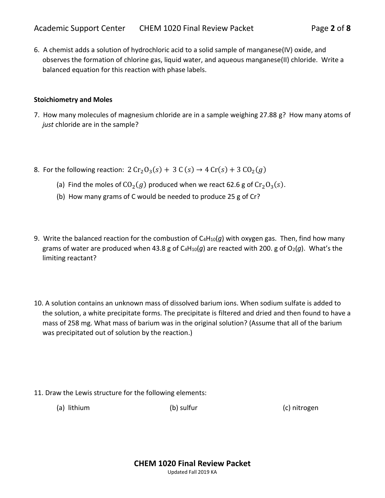6. A chemist adds a solution of hydrochloric acid to a solid sample of manganese(IV) oxide, and observes the formation of chlorine gas, liquid water, and aqueous manganese(II) chloride. Write a balanced equation for this reaction with phase labels.

#### **Stoichiometry and Moles**

- 7. How many molecules of magnesium chloride are in a sample weighing 27.88 g? How many atoms of *just* chloride are in the sample?
- 8. For the following reaction:  $2 Cr<sub>2</sub>O<sub>3</sub>(s) + 3 C(s) \rightarrow 4 Cr(s) + 3 CO<sub>2</sub>(g)$ 
	- (a) Find the moles of  $CO_2(g)$  produced when we react 62.6 g of  $Cr_2O_3(s)$ .
	- (b) How many grams of C would be needed to produce 25 g of Cr?
- 9. Write the balanced reaction for the combustion of C<sub>4</sub>H<sub>10</sub>(g) with oxygen gas. Then, find how many grams of water are produced when 43.8 g of  $C_4H_{10}(g)$  are reacted with 200. g of  $O_2(g)$ . What's the limiting reactant?
- 10. A solution contains an unknown mass of dissolved barium ions. When sodium sulfate is added to the solution, a white precipitate forms. The precipitate is filtered and dried and then found to have a mass of 258 mg. What mass of barium was in the original solution? (Assume that all of the barium was precipitated out of solution by the reaction.)

- 11. Draw the Lewis structure for the following elements:
	- (a) lithium (b) sulfur (c) nitrogen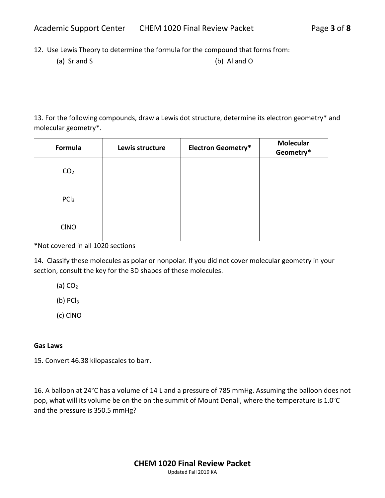12. Use Lewis Theory to determine the formula for the compound that forms from:

(a) Sr and S (b) Al and O

13. For the following compounds, draw a Lewis dot structure, determine its electron geometry\* and molecular geometry\*.

| Formula          | Lewis structure | <b>Electron Geometry*</b> | <b>Molecular</b><br>Geometry* |
|------------------|-----------------|---------------------------|-------------------------------|
| CO <sub>2</sub>  |                 |                           |                               |
| PCl <sub>3</sub> |                 |                           |                               |
| <b>CINO</b>      |                 |                           |                               |

\*Not covered in all 1020 sections

14. Classify these molecules as polar or nonpolar. If you did not cover molecular geometry in your section, consult the key for the 3D shapes of these molecules.

(a)  $CO<sub>2</sub>$ 

 $(b)$  PC $l<sub>3</sub>$ 

(c) ClNO

## **Gas Laws**

15. Convert 46.38 kilopascales to barr.

16. A balloon at 24°C has a volume of 14 L and a pressure of 785 mmHg. Assuming the balloon does not pop, what will its volume be on the on the summit of Mount Denali, where the temperature is 1.0°C and the pressure is 350.5 mmHg?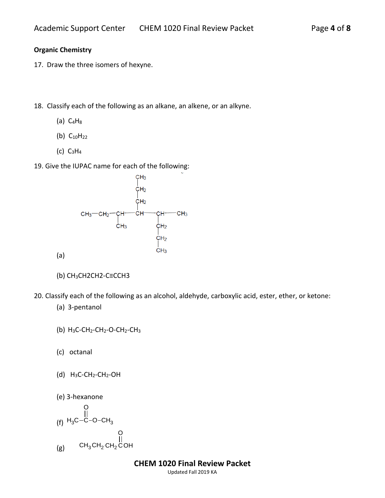## **Organic Chemistry**

- 17. Draw the three isomers of hexyne.
- 18. Classify each of the following as an alkane, an alkene, or an alkyne.
	- (a)  $C_4H_8$
	- (b)  $C_{10}H_{22}$
	- $(c)$  C<sub>3</sub>H<sub>4</sub>
- 19. Give the IUPAC name for each of the following:



- (b) CH3CH2CH2-C≡CCH3
- 20. Classify each of the following as an alcohol, aldehyde, carboxylic acid, ester, ether, or ketone:
	- (a) 3-pentanol

(a)

- (b)  $H_3C$ -CH<sub>2</sub>-CH<sub>2</sub>-O-CH<sub>2</sub>-CH<sub>3</sub>
- (c) octanal
- (d)  $H_3C$ -CH<sub>2</sub>-CH<sub>2</sub>-OH
- (e) 3-hexanone

$$
\begin{array}{c}\n0 \\
||\n\end{array}
$$
\n
$$
(f) H_3C-C-O-CH_3
$$
\n
$$
(g) CH_3CH_2CH_2COH
$$

**CHEM 1020 Final Review Packet**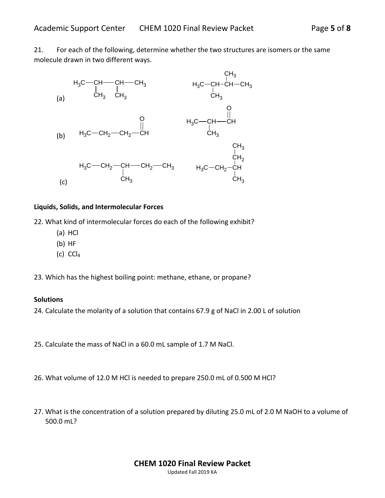21. For each of the following, determine whether the two structures are isomers or the same molecule drawn in two different ways.



#### **Liquids, Solids, and Intermolecular Forces**

22. What kind of intermolecular forces do each of the following exhibit?

- (a) HCl
- (b) HF
- (c)  $CCl<sub>4</sub>$

23. Which has the highest boiling point: methane, ethane, or propane?

#### **Solutions**

24. Calculate the molarity of a solution that contains 67.9 g of NaCl in 2.00 L of solution

- 25. Calculate the mass of NaCl in a 60.0 mL sample of 1.7 M NaCl.
- 26. What volume of 12.0 M HCl is needed to prepare 250.0 mL of 0.500 M HCl?
- 27. What is the concentration of a solution prepared by diluting 25.0 mL of 2.0 M NaOH to a volume of 500.0 mL?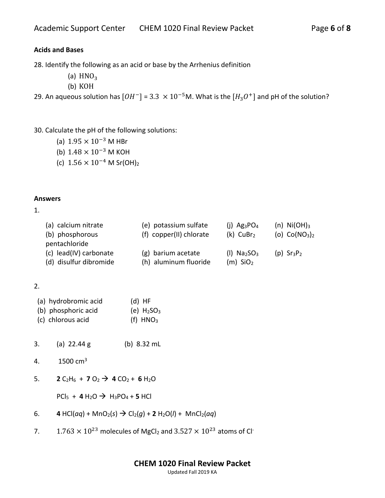# **Acids and Bases**

28. Identify the following as an acid or base by the Arrhenius definition

- (a)  $HNO<sub>3</sub>$
- (b) KOH

29. An aqueous solution has  $[OH^-]$  =  $3.3\ \times 10^{-5}$ M. What is the  $[H_3O^+]$  and pH of the solution?

30. Calculate the pH of the following solutions:

- (a)  $1.95 \times 10^{-3}$  M HBr
- (b) 1.48 × 10−3 M KOH
- (c)  $1.56 \times 10^{-4}$  M Sr(OH)<sub>2</sub>

#### **Answers**

1.

|               | (a) calcium nitrate    | (e) potassium sulfate   | (i) $Ag_3PO_4$          | (n) $Ni(OH)_3$                       |
|---------------|------------------------|-------------------------|-------------------------|--------------------------------------|
|               | (b) phosphorous        | (f) copper(II) chlorate | $(k)$ CuBr <sub>2</sub> | (o) $Co(NO3)2$                       |
| pentachloride |                        |                         |                         |                                      |
|               | (c) lead(IV) carbonate | (g) barium acetate      | (I) $Na2SO3$            | $(p)$ Sr <sub>3</sub> P <sub>2</sub> |
|               | (d) disulfur dibromide | (h) aluminum fluoride   | $(m)$ SiO <sub>2</sub>  |                                      |

## 2.

| (a) hydrobromic acid | $(d)$ HF      |
|----------------------|---------------|
| (b) phosphoric acid  | (e) $H_2SO_3$ |
| (c) chlorous acid    | (f) $HNO3$    |

- 3. (a) 22.44 g (b) 8.32 mL
- 4.  $1500 \text{ cm}^3$
- 5. **2**  $C_2H_6$  + **7**  $O_2$   $\rightarrow$  **4**  $CO_2$  + **6**  $H_2O$

 $PCl_5 + 4 H_2O \rightarrow H_3PO_4 + 5 HCl$ 

- 6. **4** HCl(*aq*) + MnO<sub>2</sub>(*s*)  $\rightarrow$  Cl<sub>2</sub>(*g*) + **2** H<sub>2</sub>O(*l*) + MnCl<sub>2</sub>(*aq*)
- 7.  $1.763 \times 10^{23}$  molecules of MgCl<sub>2</sub> and  $3.527 \times 10^{23}$  atoms of Cl<sup>-</sup>

## **CHEM 1020 Final Review Packet**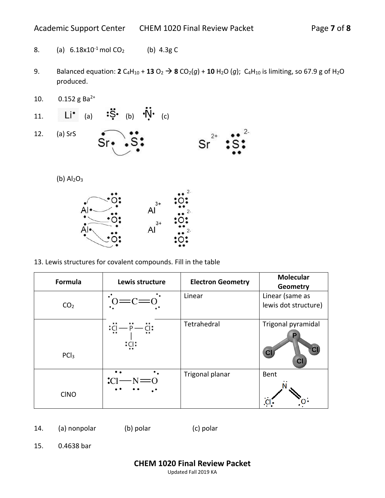- 8. (a)  $6.18 \times 10^{-1}$  mol CO<sub>2</sub> (b)  $4.3g$  C
- 9. Balanced equation: **2**  $C_4H_{10}$  + **13**  $O_2$   $\rightarrow$  **8**  $CO_2(g)$  + **10**  $H_2O$  (g);  $C_4H_{10}$  is limiting, so 67.9 g of  $H_2O$ produced.
- 10.  $0.152$  g Ba<sup>2+</sup>
- 11. Li<sup>•</sup> (a)  $\mathbf{S} \cdot$  (b)  $\mathbf{N} \cdot$  (c)
- 12. (a) SrS



(b)  $Al<sub>2</sub>O<sub>3</sub>$ 



13. Lewis structures for covalent compounds. Fill in the table

| Formula          | Lewis structure                             | <b>Electron Geometry</b> | <b>Molecular</b><br>Geometry                  |
|------------------|---------------------------------------------|--------------------------|-----------------------------------------------|
| CO <sub>2</sub>  |                                             | Linear                   | Linear (same as<br>lewis dot structure)       |
| PCl <sub>3</sub> | $\cdot$ C<br>:CI:                           | Tetrahedral              | Trigonal pyramidal<br>$\overline{\mathbf{C}}$ |
| <b>CINO</b>      | $\bullet$ .<br>$\bullet$ .<br>$\mathcal{C}$ | Trigonal planar          | Bent                                          |

14. (a) nonpolar (b) polar (c) polar

15. 0.4638 bar

**CHEM 1020 Final Review Packet**